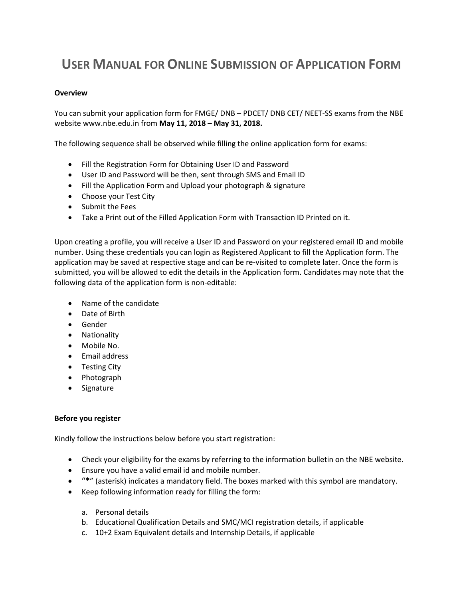# **USER MANUAL FOR ONLINE SUBMISSION OF APPLICATION FORM**

#### **Overview**

You can submit your application form for FMGE/ DNB – PDCET/ DNB CET/ NEET-SS exams from the NBE website www.nbe.edu.in from **May 11, 2018 – May 31, 2018.**

The following sequence shall be observed while filling the online application form for exams:

- Fill the Registration Form for Obtaining User ID and Password
- User ID and Password will be then, sent through SMS and Email ID
- Fill the Application Form and Upload your photograph & signature
- Choose your Test City
- Submit the Fees
- Take a Print out of the Filled Application Form with Transaction ID Printed on it.

Upon creating a profile, you will receive a User ID and Password on your registered email ID and mobile number. Using these credentials you can login as Registered Applicant to fill the Application form. The application may be saved at respective stage and can be re-visited to complete later. Once the form is submitted, you will be allowed to edit the details in the Application form. Candidates may note that the following data of the application form is non-editable:

- Name of the candidate
- Date of Birth
- **•** Gender
- Nationality
- Mobile No.
- Email address
- Testing City
- Photograph
- Signature

#### **Before you register**

Kindly follow the instructions below before you start registration:

- Check your eligibility for the exams by referring to the information bulletin on the NBE website.
- Ensure you have a valid email id and mobile number.
- "**\***" (asterisk) indicates a mandatory field. The boxes marked with this symbol are mandatory.
- Keep following information ready for filling the form:
	- a. Personal details
	- b. Educational Qualification Details and SMC/MCI registration details, if applicable
	- c. 10+2 Exam Equivalent details and Internship Details, if applicable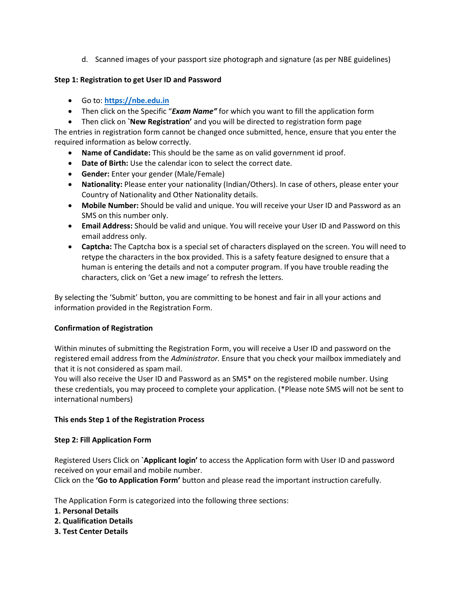d. Scanned images of your passport size photograph and signature (as per NBE guidelines)

## **Step 1: Registration to get User ID and Password**

- Go to: **[https://nbe.edu.in](https://nbe.edu.in/)**
- Then click on the Specific "*Exam Name"* for which you want to fill the application form
- Then click on **`New Registration'** and you will be directed to registration form page

The entries in registration form cannot be changed once submitted, hence, ensure that you enter the required information as below correctly.

- **Name of Candidate:** This should be the same as on valid government id proof.
- **Date of Birth:** Use the calendar icon to select the correct date.
- **Gender:** Enter your gender (Male/Female)
- **Nationality:** Please enter your nationality (Indian/Others). In case of others, please enter your Country of Nationality and Other Nationality details.
- **Mobile Number:** Should be valid and unique. You will receive your User ID and Password as an SMS on this number only.
- **Email Address:** Should be valid and unique. You will receive your User ID and Password on this email address only.
- **Captcha:** The Captcha box is a special set of characters displayed on the screen. You will need to retype the characters in the box provided. This is a safety feature designed to ensure that a human is entering the details and not a computer program. If you have trouble reading the characters, click on 'Get a new image' to refresh the letters.

By selecting the 'Submit' button, you are committing to be honest and fair in all your actions and information provided in the Registration Form.

# **Confirmation of Registration**

Within minutes of submitting the Registration Form, you will receive a User ID and password on the registered email address from the *Administrator.* Ensure that you check your mailbox immediately and that it is not considered as spam mail.

You will also receive the User ID and Password as an SMS\* on the registered mobile number. Using these credentials, you may proceed to complete your application. (\*Please note SMS will not be sent to international numbers)

# **This ends Step 1 of the Registration Process**

# **Step 2: Fill Application Form**

Registered Users Click on **`Applicant login'** to access the Application form with User ID and password received on your email and mobile number.

Click on the **'Go to Application Form'** button and please read the important instruction carefully.

The Application Form is categorized into the following three sections:

- **1. Personal Details**
- **2. Qualification Details**
- **3. Test Center Details**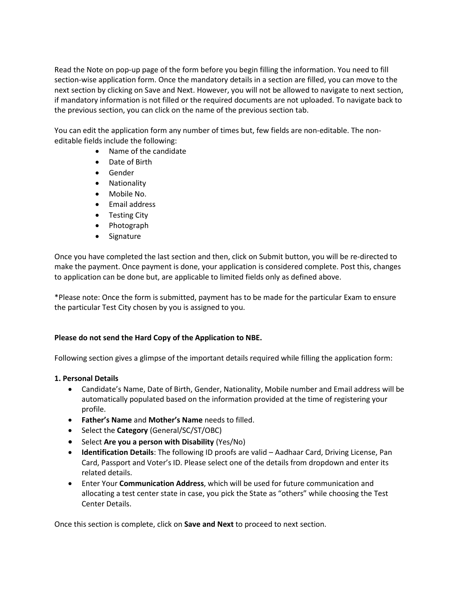Read the Note on pop-up page of the form before you begin filling the information. You need to fill section-wise application form. Once the mandatory details in a section are filled, you can move to the next section by clicking on Save and Next. However, you will not be allowed to navigate to next section, if mandatory information is not filled or the required documents are not uploaded. To navigate back to the previous section, you can click on the name of the previous section tab.

You can edit the application form any number of times but, few fields are non-editable. The noneditable fields include the following:

- Name of the candidate
- Date of Birth
- Gender
- Nationality
- Mobile No.
- Email address
- Testing City
- Photograph
- Signature

Once you have completed the last section and then, click on Submit button, you will be re-directed to make the payment. Once payment is done, your application is considered complete. Post this, changes to application can be done but, are applicable to limited fields only as defined above.

\*Please note: Once the form is submitted, payment has to be made for the particular Exam to ensure the particular Test City chosen by you is assigned to you.

# **Please do not send the Hard Copy of the Application to NBE.**

Following section gives a glimpse of the important details required while filling the application form:

# **1. Personal Details**

- Candidate's Name, Date of Birth, Gender, Nationality, Mobile number and Email address will be automatically populated based on the information provided at the time of registering your profile.
- **Father's Name** and **Mother's Name** needs to filled.
- Select the **Category** (General/SC/ST/OBC)
- Select **Are you a person with Disability** (Yes/No)
- **Identification Details**: The following ID proofs are valid Aadhaar Card, Driving License, Pan Card, Passport and Voter's ID. Please select one of the details from dropdown and enter its related details.
- Enter Your **Communication Address**, which will be used for future communication and allocating a test center state in case, you pick the State as "others" while choosing the Test Center Details.

Once this section is complete, click on **Save and Next** to proceed to next section.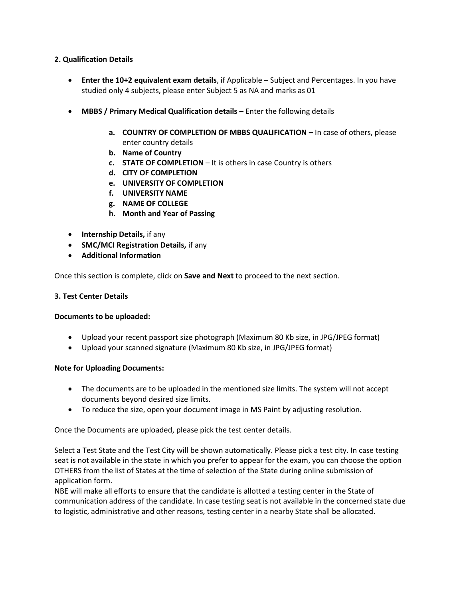## **2. Qualification Details**

- **Enter the 10+2 equivalent exam details**, if Applicable Subject and Percentages. In you have studied only 4 subjects, please enter Subject 5 as NA and marks as 01
- **MBBS / Primary Medical Qualification details Enter the following details** 
	- **a. COUNTRY OF COMPLETION OF MBBS QUALIFICATION -** In case of others, please enter country details
	- **b. Name of Country**
	- **c. STATE OF COMPLETION**  It is others in case Country is others
	- **d. CITY OF COMPLETION**
	- **e. UNIVERSITY OF COMPLETION**
	- **f. UNIVERSITY NAME**
	- **g. NAME OF COLLEGE**
	- **h. Month and Year of Passing**
- **•** Internship Details, if any
- **SMC/MCI Registration Details,** if any
- **Additional Information**

Once this section is complete, click on **Save and Next** to proceed to the next section.

#### **3. Test Center Details**

### **Documents to be uploaded:**

- Upload your recent passport size photograph (Maximum 80 Kb size, in JPG/JPEG format)
- Upload your scanned signature (Maximum 80 Kb size, in JPG/JPEG format)

### **Note for Uploading Documents:**

- The documents are to be uploaded in the mentioned size limits. The system will not accept documents beyond desired size limits.
- To reduce the size, open your document image in MS Paint by adjusting resolution.

Once the Documents are uploaded, please pick the test center details.

Select a Test State and the Test City will be shown automatically. Please pick a test city. In case testing seat is not available in the state in which you prefer to appear for the exam, you can choose the option OTHERS from the list of States at the time of selection of the State during online submission of application form.

NBE will make all efforts to ensure that the candidate is allotted a testing center in the State of communication address of the candidate. In case testing seat is not available in the concerned state due to logistic, administrative and other reasons, testing center in a nearby State shall be allocated.